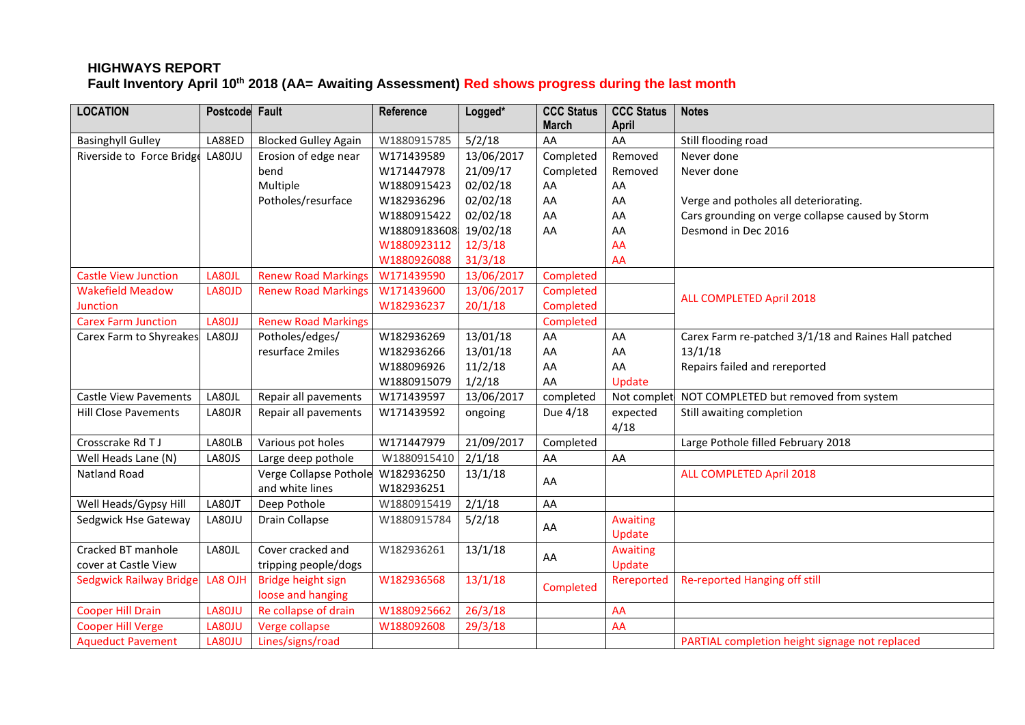# **HIGHWAYS REPORT Fault Inventory April 10 th 2018 (AA= Awaiting Assessment) Red shows progress during the last month**

| <b>LOCATION</b>                | Postcode Fault |                             | Reference    | Logged*    | <b>CCC Status</b><br><b>March</b> | <b>CCC Status</b><br><b>April</b> | <b>Notes</b>                                         |
|--------------------------------|----------------|-----------------------------|--------------|------------|-----------------------------------|-----------------------------------|------------------------------------------------------|
| <b>Basinghyll Gulley</b>       | LA88ED         | <b>Blocked Gulley Again</b> | W1880915785  | 5/2/18     | AA                                | AA                                | Still flooding road                                  |
| Riverside to Force Bridge      | LA80JU         | Erosion of edge near        | W171439589   | 13/06/2017 | Completed                         | Removed                           | Never done                                           |
|                                |                | bend                        | W171447978   | 21/09/17   | Completed                         | Removed                           | Never done                                           |
|                                |                | Multiple                    | W1880915423  | 02/02/18   | AA                                | AA                                |                                                      |
|                                |                | Potholes/resurface          | W182936296   | 02/02/18   | AA                                | AA                                | Verge and potholes all deteriorating.                |
|                                |                |                             | W1880915422  | 02/02/18   | AA                                | AA                                | Cars grounding on verge collapse caused by Storm     |
|                                |                |                             | W18809183608 | 19/02/18   | AA                                | AA                                | Desmond in Dec 2016                                  |
|                                |                |                             | W1880923112  | 12/3/18    |                                   | AA                                |                                                      |
|                                |                |                             | W1880926088  | 31/3/18    |                                   | AA                                |                                                      |
| <b>Castle View Junction</b>    | LA80JL         | <b>Renew Road Markings</b>  | W171439590   | 13/06/2017 | Completed                         |                                   |                                                      |
| <b>Wakefield Meadow</b>        | LA80JD         | <b>Renew Road Markings</b>  | W171439600   | 13/06/2017 | Completed                         |                                   | ALL COMPLETED April 2018                             |
| Junction                       |                |                             | W182936237   | 20/1/18    | Completed                         |                                   |                                                      |
| <b>Carex Farm Junction</b>     | LA80JJ         | <b>Renew Road Markings</b>  |              |            | Completed                         |                                   |                                                      |
| Carex Farm to Shyreakes        | LA80JJ         | Potholes/edges/             | W182936269   | 13/01/18   | AA                                | AA                                | Carex Farm re-patched 3/1/18 and Raines Hall patched |
|                                |                | resurface 2miles            | W182936266   | 13/01/18   | AA                                | AA                                | 13/1/18                                              |
|                                |                |                             | W188096926   | 11/2/18    | AA                                | AA                                | Repairs failed and rereported                        |
|                                |                |                             | W1880915079  | 1/2/18     | AA                                | Update                            |                                                      |
| <b>Castle View Pavements</b>   | LA80JL         | Repair all pavements        | W171439597   | 13/06/2017 | completed                         | Not complet                       | NOT COMPLETED but removed from system                |
| <b>Hill Close Pavements</b>    | LA80JR         | Repair all pavements        | W171439592   | ongoing    | Due 4/18                          | expected                          | Still awaiting completion                            |
|                                |                |                             |              |            |                                   | 4/18                              |                                                      |
| Crosscrake Rd T J              | LA80LB         | Various pot holes           | W171447979   | 21/09/2017 | Completed                         |                                   | Large Pothole filled February 2018                   |
| Well Heads Lane (N)            | <b>LA80JS</b>  | Large deep pothole          | W1880915410  | 2/1/18     | AA                                | AA                                |                                                      |
| <b>Natland Road</b>            |                | Verge Collapse Pothole      | W182936250   | 13/1/18    | AA                                |                                   | <b>ALL COMPLETED April 2018</b>                      |
|                                |                | and white lines             | W182936251   |            |                                   |                                   |                                                      |
| Well Heads/Gypsy Hill          | LA80JT         | Deep Pothole                | W1880915419  | 2/1/18     | AA                                |                                   |                                                      |
| Sedgwick Hse Gateway           | LA80JU         | Drain Collapse              | W1880915784  | 5/2/18     | AA                                | <b>Awaiting</b>                   |                                                      |
|                                |                |                             |              |            |                                   | Update                            |                                                      |
| Cracked BT manhole             | LA80JL         | Cover cracked and           | W182936261   | 13/1/18    | AA                                | <b>Awaiting</b>                   |                                                      |
| cover at Castle View           |                | tripping people/dogs        |              |            |                                   | Update                            |                                                      |
| <b>Sedgwick Railway Bridge</b> | LA8 OJH        | Bridge height sign          | W182936568   | 13/1/18    | Completed                         | Rereported                        | Re-reported Hanging off still                        |
|                                |                | loose and hanging           |              |            |                                   |                                   |                                                      |
| <b>Cooper Hill Drain</b>       | LA80JU         | Re collapse of drain        | W1880925662  | 26/3/18    |                                   | AA                                |                                                      |
| <b>Cooper Hill Verge</b>       | LA80JU         | Verge collapse              | W188092608   | 29/3/18    |                                   | AA                                |                                                      |
| <b>Aqueduct Pavement</b>       | LA80JU         | Lines/signs/road            |              |            |                                   |                                   | PARTIAL completion height signage not replaced       |